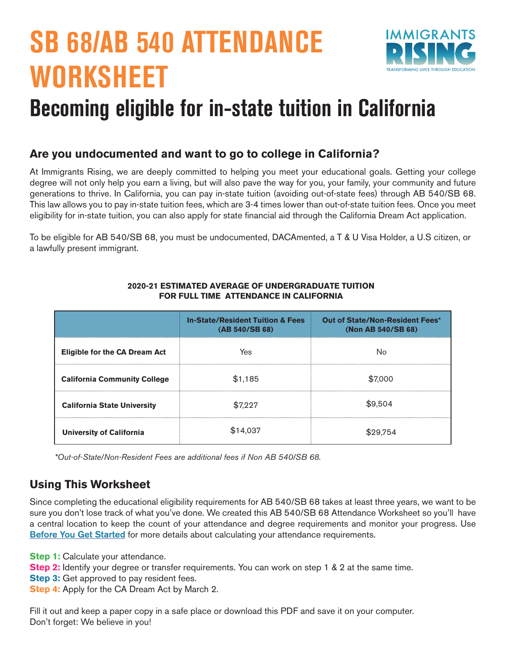# **SB 68/AB 540 ATTENDANCE WORKSHEET**



## **Becoming eligible for in-state tuition in California**

#### **Are you undocumented and want to go to college in California?**

At Immigrants Rising, we are deeply committed to helping you meet your educational goals. Getting your college degree will not only help you earn a living, but will also pave the way for you, your family, your community and future generations to thrive. In California, you can pay in-state tuition (avoiding out-of-state fees) through AB 540/SB 68. This law allows you to pay in-state tuition fees, which are 3-4 times lower than out-of-state tuition fees. Once you meet eligibility for in-state tuition, you can also apply for state financial aid through the California Dream Act application.

To be eligible for AB 540/SB 68, you must be undocumented, DACAmented, a T & U Visa Holder, a U.S citizen, or a lawfully present immigrant.

|                                      | <b>In-State/Resident Tuition &amp; Fees</b><br>(AB 540/SB 68) | Out of State/Non-Resident Fees*<br>(Non AB 540/SB 68) |
|--------------------------------------|---------------------------------------------------------------|-------------------------------------------------------|
| <b>Eligible for the CA Dream Act</b> | Yes                                                           | No                                                    |
| <b>California Community College</b>  | \$1,185                                                       | \$7,000                                               |
| <b>California State University</b>   | \$7.227                                                       | \$9,504                                               |
| University of California             | \$14.037                                                      | 29.754                                                |

#### **2020-21 ESTIMATED AVERAGE OF UNDERGRADUATE TUITION FOR FULL TIME ATTENDANCE IN CALIFORNIA**

*\*Out-of-State/Non-Resident Fees are additional fees if Non AB 540/SB 68.*

#### **Using This Worksheet**

Since completing the educational eligibility requirements for AB 540/SB 68 takes at least three years, we want to be sure you don't lose track of what you've done. We created this AB 540/SB 68 Attendance Worksheet so you'll have a central location to keep the count of your attendance and degree requirements and monitor your progress. Use [Before You Get Started](https://drive.google.com/file/d/1qckiSQj69EZHDD8MUCTXDqnRwTLSxhUr/view) for more details about calculating your attendance requirements.

**Step 1:** Calculate your attendance.

- **Step 2:** Identify your degree or transfer requirements. You can work on step 1 & 2 at the same time.
- **Step 3:** Get approved to pay resident fees.
- **Step 4:** Apply for the CA Dream Act by March 2.

Fill it out and keep a paper copy in a safe place or download this PDF and save it on your computer. Don't forget: We believe in you!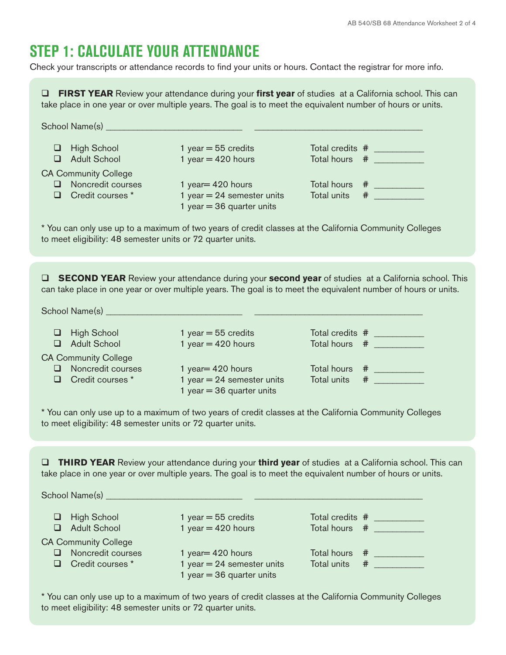## **STEP 1: CALCULATE YOUR ATTENDANCE**

Check your transcripts or attendance records to find your units or hours. Contact the registrar for more info.

**D FIRST YEAR** Review your attendance during your **first year** of studies at a California school. This can take place in one year or over multiple years. The goal is to meet the equivalent number of hours or units. School Name(s) \_\_\_\_\_\_\_\_\_\_\_\_\_\_\_\_\_\_\_\_\_\_\_\_\_\_\_\_\_\_ \_\_\_\_\_\_\_\_\_\_\_\_\_\_\_\_\_\_\_\_\_\_\_\_\_\_\_\_\_\_\_\_\_\_\_\_\_ q High School 1 year = 55 credits Total credits # \_\_\_\_\_\_\_\_\_\_\_  $\Box$  Adult School 1 year = 420 hours Total hours  $\#$ CA Community College □ Noncredit courses 1 year= 420 hours Total hours # \_\_\_\_\_\_\_\_\_ □ Credit courses \* 1 year = 24 semester units Total units # \_\_\_\_\_\_\_\_\_\_ 1 year  $= 36$  quarter units \* You can only use up to a maximum of two years of credit classes at the California Community Colleges to meet eligibility: 48 semester units or 72 quarter units. **Q SECOND YEAR** Review your attendance during your **second year** of studies at a California school. This can take place in one year or over multiple years. The goal is to meet the equivalent number of hours or units. School Name(s) \_\_\_\_\_\_\_\_\_\_\_\_\_\_\_\_\_\_\_\_\_\_\_\_\_\_\_\_\_\_ \_\_\_\_\_\_\_\_\_\_\_\_\_\_\_\_\_\_\_\_\_\_\_\_\_\_\_\_\_\_\_\_\_\_\_\_\_  $\Box$  High School 1 year = 55 credits Total credits  $\#$  $\Box$  Adult School 1 year = 420 hours Total hours # CA Community College<br> **Q** Noncredit courses □ Noncredit courses 1 year= 420 hours Total hours # \_\_\_\_\_\_\_\_\_ □ Credit courses \* 1 year = 24 semester units Total units # \_\_\_\_\_\_\_\_\_\_ 1 year  $= 36$  quarter units \* You can only use up to a maximum of two years of credit classes at the California Community Colleges to meet eligibility: 48 semester units or 72 quarter units. **D THIRD YEAR** Review your attendance during your **third year** of studies at a California school. This can take place in one year or over multiple years. The goal is to meet the equivalent number of hours or units. School Name(s) \_\_\_\_\_\_\_\_\_\_\_\_\_\_\_\_\_\_\_\_\_\_\_\_\_\_\_\_\_\_ \_\_\_\_\_\_\_\_\_\_\_\_\_\_\_\_\_\_\_\_\_\_\_\_\_\_\_\_\_\_\_\_\_\_\_\_\_

□ High School 1 year = 55 credits Total credits # \_\_\_\_\_\_\_\_\_ □ Adult School 1 year = 420 hours Total hours # \_\_\_\_\_\_\_\_\_ CA Community College □ Noncredit courses 1 year= 420 hours Total hours # \_\_\_\_\_\_\_\_\_ □ Credit courses \* 1 year = 24 semester units Total units # \_\_\_\_\_\_\_\_\_\_ 1 year  $= 36$  quarter units

\* You can only use up to a maximum of two years of credit classes at the California Community Colleges to meet eligibility: 48 semester units or 72 quarter units.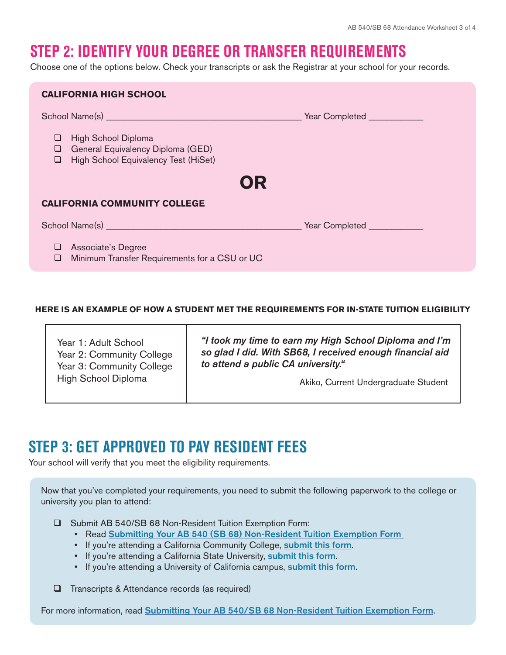## **STEP 2: IDENTIFY YOUR DEGREE OR TRANSFER REQUIREMENTS**

Choose one of the options below. Check your transcripts or ask the Registrar at your school for your records.

| <b>CALIFORNIA HIGH SCHOOL</b>                                                                                                                                                                                                 |  |  |
|-------------------------------------------------------------------------------------------------------------------------------------------------------------------------------------------------------------------------------|--|--|
| School Name(s) Name (s) Name (s) Name (s) Name (s) Name (s) Name (s) Name (s) Name (s) Name (s) Name (s) Name (s) Name (s) Name (s) Name (s) Name (s) Name (s) Name (s) Name (s) Name (s) Name (s) Name (s) Name (s) Name (s) |  |  |
| High School Diploma<br>⊔<br>General Equivalency Diploma (GED)<br>u.<br>High School Equivalency Test (HiSet)<br>u.                                                                                                             |  |  |
| OR                                                                                                                                                                                                                            |  |  |
| <b>CALIFORNIA COMMUNITY COLLEGE</b>                                                                                                                                                                                           |  |  |
| School Name(s) Name (s) Name (s) Name (s) Name (s) Name (s) Name (s) Name (s) Name (s) Name (s) Name (s) Name (s) Name (s) Name (s) Name (s) Name (s) Name (s) Name (s) Name (s) Name (s) Name (s) Name (s) Name (s) Name (s) |  |  |
| Associate's Degree<br>⊔<br>Minimum Transfer Requirements for a CSU or UC<br>❏                                                                                                                                                 |  |  |

#### **HERE IS AN EXAMPLE OF HOW A STUDENT MET THE REQUIREMENTS FOR IN-STATE TUITION ELIGIBILITY**

| Year 1: Adult School<br>Year 2: Community College<br>Year 3: Community College<br>High School Diploma | "I took my time to earn my High School Diploma and I'm<br>so glad I did. With SB68, I received enough financial aid<br>to attend a public CA university." |
|-------------------------------------------------------------------------------------------------------|-----------------------------------------------------------------------------------------------------------------------------------------------------------|
|                                                                                                       | Akiko, Current Undergraduate Student                                                                                                                      |

#### **STEP 3: GET APPROVED TO PAY RESIDENT FEES**

Your school will verify that you meet the eligibility requirements.

Now that you've completed your requirements, you need to submit the following paperwork to the college or university you plan to attend:

- □ Submit AB 540/SB 68 Non-Resident Tuition Exemption Form:
	- Read [Submitting Your AB 540 \(SB 68\) Non-Resident Tuition Exemption Form](https://immigrantsrising.org/resource/submitting-the-affidavit/)
	- If you're attending a California Community College, [submit this form](https://immigrantsrising.org/resource/affidavit-for-ca-community-college/).
	- If you're attending a California State University, [submit this form](https://immigrantsrising.org/resource/affidavit-for-ca-state-universities/).
	- If you're attending a University of California campus, [submit this form](https://immigrantsrising.org/resource/affidavit-for-university-of-ca/).

 $\Box$  Transcripts & Attendance records (as required)

For more information, read **[Submitting Your AB 540/SB 68 Non-Resident Tuition Exemption Form](https://immigrantsrising.org/resource/submitting-the-affidavit/).**